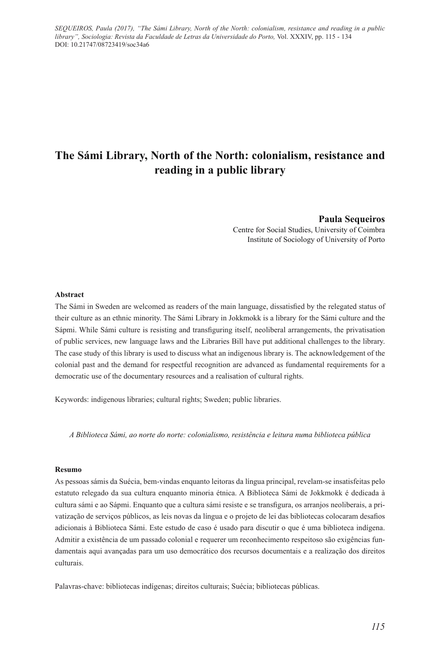*SEQUEIROS, Paula (2017), "The Sámi Library, North of the North: colonialism, resistance and reading in a public library", Sociologia: Revista da Faculdade de Letras da Universidade do Porto,* Vol. XXXIV, pp. 115 - 134 DOI: 10.21747/08723419/soc34a6

# **The Sámi Library, North of the North: colonialism, resistance and reading in a public library**

**Paula Sequeiros**  Centre for Social Studies, University of Coimbra Institute of Sociology of University of Porto

#### **Abstract**

The Sámi in Sweden are welcomed as readers of the main language, dissatisfied by the relegated status of their culture as an ethnic minority. The Sámi Library in Jokkmokk is a library for the Sámi culture and the Sápmi. While Sámi culture is resisting and transfiguring itself, neoliberal arrangements, the privatisation of public services, new language laws and the Libraries Bill have put additional challenges to the library. The case study of this library is used to discuss what an indigenous library is. The acknowledgement of the colonial past and the demand for respectful recognition are advanced as fundamental requirements for a democratic use of the documentary resources and a realisation of cultural rights.

Keywords: indigenous libraries; cultural rights; Sweden; public libraries.

*A Biblioteca Sámi, ao norte do norte: colonialismo, resistência e leitura numa biblioteca pública*

#### **Resumo**

As pessoas sámis da Suécia, bem-vindas enquanto leitoras da língua principal, revelam-se insatisfeitas pelo estatuto relegado da sua cultura enquanto minoria étnica. A Biblioteca Sámi de Jokkmokk é dedicada à cultura sámi e ao Sápmi. Enquanto que a cultura sámi resiste e se transfigura, os arranjos neoliberais, a privatização de serviços públicos, as leis novas da língua e o projeto de lei das bibliotecas colocaram desafios adicionais à Biblioteca Sámi. Este estudo de caso é usado para discutir o que é uma biblioteca indígena. Admitir a existência de um passado colonial e requerer um reconhecimento respeitoso são exigências fundamentais aqui avançadas para um uso democrático dos recursos documentais e a realização dos direitos culturais.

Palavras-chave: bibliotecas indígenas; direitos culturais; Suécia; bibliotecas públicas.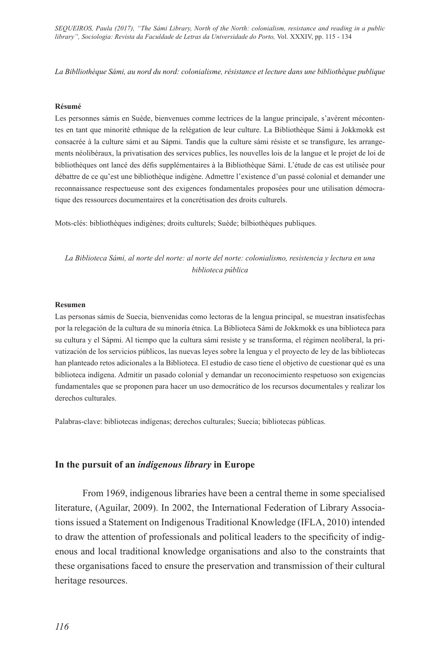*SEQUEIROS, Paula (2017), "The Sámi Library, North of the North: colonialism, resistance and reading in a public library", Sociologia: Revista da Faculdade de Letras da Universidade do Porto,* Vol. XXXIV, pp. 115 - 134

*La Biblliothèque Sámi, au nord du nord: colonialisme, résistance et lecture dans une bibliothèque publique*

#### **Résumé**

Les personnes sámis en Suède, bienvenues comme lectrices de la langue principale, s'avèrent mécontentes en tant que minorité ethnique de la relégation de leur culture. La Bibliothèque Sámi à Jokkmokk est consacrée à la culture sámi et au Sápmi. Tandis que la culture sámi résiste et se transfigure, les arrangements néolibéraux, la privatisation des services publics, les nouvelles lois de la langue et le projet de loi de bibliothèques ont lancé des défis supplémentaires à la Bibliothèque Sámi. L'étude de cas est utilisée pour débattre de ce qu'est une bibliothèque indigène. Admettre l'existence d'un passé colonial et demander une reconnaissance respectueuse sont des exigences fondamentales proposées pour une utilisation démocratique des ressources documentaires et la concrétisation des droits culturels.

Mots-clés: bibliothèques indigènes; droits culturels; Suède; bilbiothèques publiques.

*La Biblioteca Sámi, al norte del norte: al norte del norte: colonialismo, resistencia y lectura en una biblioteca pública*

#### **Resumen**

Las personas sámis de Suecia, bienvenidas como lectoras de la lengua principal, se muestran insatisfechas por la relegación de la cultura de su minoría étnica. La Biblioteca Sámi de Jokkmokk es una biblioteca para su cultura y el Sápmi. Al tiempo que la cultura sámi resiste y se transforma, el régimen neoliberal, la privatización de los servicios públicos, las nuevas leyes sobre la lengua y el proyecto de ley de las bibliotecas han planteado retos adicionales a la Biblioteca. El estudio de caso tiene el objetivo de cuestionar qué es una biblioteca indígena. Admitir un pasado colonial y demandar un reconocimiento respetuoso son exigencias fundamentales que se proponen para hacer un uso democrático de los recursos documentales y realizar los derechos culturales.

Palabras-clave: bibliotecas indígenas; derechos culturales; Suecia; bibliotecas públicas.

#### **In the pursuit of an** *indigenous library* **in Europe**

From 1969, indigenous libraries have been a central theme in some specialised literature, (Aguilar, 2009). In 2002, the International Federation of Library Associations issued a Statement on Indigenous Traditional Knowledge (IFLA, 2010) intended to draw the attention of professionals and political leaders to the specificity of indigenous and local traditional knowledge organisations and also to the constraints that these organisations faced to ensure the preservation and transmission of their cultural heritage resources.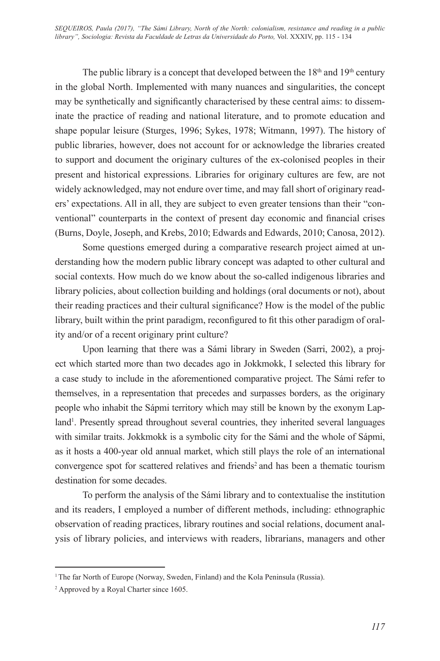The public library is a concept that developed between the  $18<sup>th</sup>$  and  $19<sup>th</sup>$  century in the global North. Implemented with many nuances and singularities, the concept may be synthetically and significantly characterised by these central aims: to disseminate the practice of reading and national literature, and to promote education and shape popular leisure (Sturges, 1996; Sykes, 1978; Witmann, 1997). The history of public libraries, however, does not account for or acknowledge the libraries created to support and document the originary cultures of the ex-colonised peoples in their present and historical expressions. Libraries for originary cultures are few, are not widely acknowledged, may not endure over time, and may fall short of originary readers' expectations. All in all, they are subject to even greater tensions than their "conventional" counterparts in the context of present day economic and financial crises (Burns, Doyle, Joseph, and Krebs, 2010; Edwards and Edwards, 2010; Canosa, 2012).

Some questions emerged during a comparative research project aimed at understanding how the modern public library concept was adapted to other cultural and social contexts. How much do we know about the so-called indigenous libraries and library policies, about collection building and holdings (oral documents or not), about their reading practices and their cultural significance? How is the model of the public library, built within the print paradigm, reconfigured to fit this other paradigm of orality and/or of a recent originary print culture?

Upon learning that there was a Sámi library in Sweden (Sarri, 2002), a project which started more than two decades ago in Jokkmokk, I selected this library for a case study to include in the aforementioned comparative project. The Sámi refer to themselves, in a representation that precedes and surpasses borders, as the originary people who inhabit the Sápmi territory which may still be known by the exonym Lapland<sup>1</sup>. Presently spread throughout several countries, they inherited several languages with similar traits. Jokkmokk is a symbolic city for the Sámi and the whole of Sápmi, as it hosts a 400-year old annual market, which still plays the role of an international convergence spot for scattered relatives and friends<sup>2</sup> and has been a thematic tourism destination for some decades.

To perform the analysis of the Sámi library and to contextualise the institution and its readers, I employed a number of different methods, including: ethnographic observation of reading practices, library routines and social relations, document analysis of library policies, and interviews with readers, librarians, managers and other

<sup>&</sup>lt;sup>1</sup> The far North of Europe (Norway, Sweden, Finland) and the Kola Peninsula (Russia).

<sup>2</sup> Approved by a Royal Charter since 1605.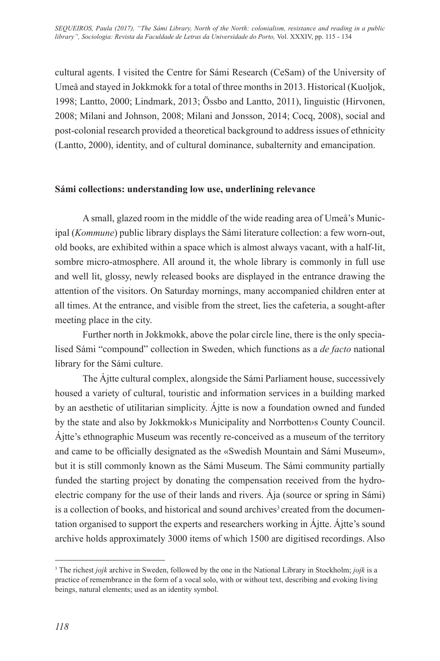cultural agents. I visited the Centre for Sámi Research (CeSam) of the University of Umeå and stayed in Jokkmokk for a total of three months in 2013. Historical (Kuoljok, 1998; Lantto, 2000; Lindmark, 2013; Össbo and Lantto, 2011), linguistic (Hirvonen, 2008; Milani and Johnson, 2008; Milani and Jonsson, 2014; Cocq, 2008), social and post-colonial research provided a theoretical background to address issues of ethnicity (Lantto, 2000), identity, and of cultural dominance, subalternity and emancipation.

### **Sámi collections: understanding low use, underlining relevance**

A small, glazed room in the middle of the wide reading area of Umeå's Municipal (*Kommune*) public library displays the Sámi literature collection: a few worn-out, old books, are exhibited within a space which is almost always vacant, with a half-lit, sombre micro-atmosphere. All around it, the whole library is commonly in full use and well lit, glossy, newly released books are displayed in the entrance drawing the attention of the visitors. On Saturday mornings, many accompanied children enter at all times. At the entrance, and visible from the street, lies the cafeteria, a sought-after meeting place in the city.

Further north in Jokkmokk, above the polar circle line, there is the only specialised Sámi "compound" collection in Sweden, which functions as a *de facto* national library for the Sámi culture.

The Ájtte cultural complex, alongside the Sámi Parliament house, successively housed a variety of cultural, touristic and information services in a building marked by an aesthetic of utilitarian simplicity. Ájtte is now a foundation owned and funded by the state and also by Jokkmokk›s Municipality and Norrbotten›s County Council. Ájtte's ethnographic Museum was recently re-conceived as a museum of the territory and came to be officially designated as the «Swedish Mountain and Sámi Museum», but it is still commonly known as the Sámi Museum. The Sámi community partially funded the starting project by donating the compensation received from the hydroelectric company for the use of their lands and rivers. Ája (source or spring in Sámi) is a collection of books, and historical and sound archives<sup>3</sup> created from the documentation organised to support the experts and researchers working in Ájtte. Ájtte's sound archive holds approximately 3000 items of which 1500 are digitised recordings. Also

<sup>3</sup> The richest *jojk* archive in Sweden, followed by the one in the National Library in Stockholm; *jojk* is a practice of remembrance in the form of a vocal solo, with or without text, describing and evoking living beings, natural elements; used as an identity symbol.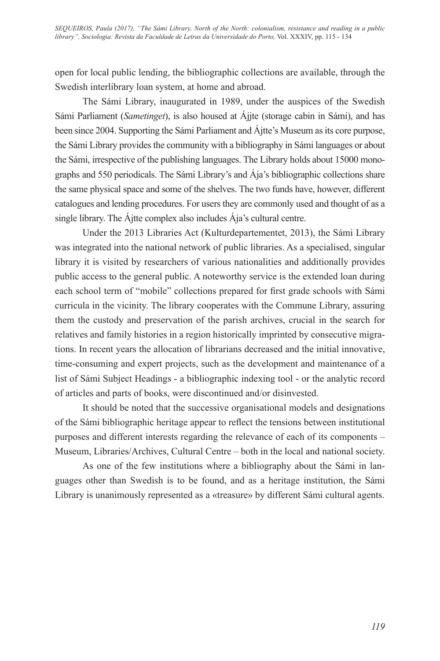open for local public lending, the bibliographic collections are available, through the Swedish interlibrary loan system, at home and abroad.

The Sámi Library, inaugurated in 1989, under the auspices of the Swedish Sámi Parliament (*Sametinget*), is also housed at Ájjte (storage cabin in Sámi), and has been since 2004. Supporting the Sámi Parliament and Ájtte's Museum as its core purpose, the Sámi Library provides the community with a bibliography in Sámi languages or about the Sámi, irrespective of the publishing languages. The Library holds about 15000 monographs and 550 periodicals. The Sámi Library's and Ája's bibliographic collections share the same physical space and some of the shelves. The two funds have, however, different catalogues and lending procedures. For users they are commonly used and thought of as a single library. The Ájtte complex also includes Ája's cultural centre.

Under the 2013 Libraries Act (Kulturdepartementet, 2013), the Sámi Library was integrated into the national network of public libraries. As a specialised, singular library it is visited by researchers of various nationalities and additionally provides public access to the general public. A noteworthy service is the extended loan during each school term of "mobile" collections prepared for first grade schools with Sámi curricula in the vicinity. The library cooperates with the Commune Library, assuring them the custody and preservation of the parish archives, crucial in the search for relatives and family histories in a region historically imprinted by consecutive migrations. In recent years the allocation of librarians decreased and the initial innovative, time-consuming and expert projects, such as the development and maintenance of a list of Sámi Subject Headings - a bibliographic indexing tool - or the analytic record of articles and parts of books, were discontinued and/or disinvested.

It should be noted that the successive organisational models and designations of the Sámi bibliographic heritage appear to reflect the tensions between institutional purposes and different interests regarding the relevance of each of its components – Museum, Libraries/Archives, Cultural Centre – both in the local and national society.

As one of the few institutions where a bibliography about the Sámi in languages other than Swedish is to be found, and as a heritage institution, the Sámi Library is unanimously represented as a «treasure» by different Sámi cultural agents.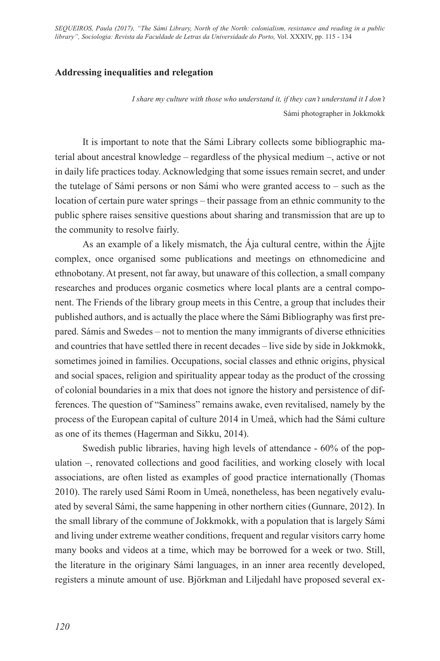### **Addressing inequalities and relegation**

*I share my culture with those who understand it, if they can't understand it I don't*  Sámi photographer in Jokkmokk

It is important to note that the Sámi Library collects some bibliographic material about ancestral knowledge – regardless of the physical medium –, active or not in daily life practices today. Acknowledging that some issues remain secret, and under the tutelage of Sámi persons or non Sámi who were granted access to – such as the location of certain pure water springs – their passage from an ethnic community to the public sphere raises sensitive questions about sharing and transmission that are up to the community to resolve fairly.

As an example of a likely mismatch, the Ája cultural centre, within the Ájjte complex, once organised some publications and meetings on ethnomedicine and ethnobotany. At present, not far away, but unaware of this collection, a small company researches and produces organic cosmetics where local plants are a central component. The Friends of the library group meets in this Centre, a group that includes their published authors, and is actually the place where the Sámi Bibliography was first prepared. Sámis and Swedes – not to mention the many immigrants of diverse ethnicities and countries that have settled there in recent decades – live side by side in Jokkmokk, sometimes joined in families. Occupations, social classes and ethnic origins, physical and social spaces, religion and spirituality appear today as the product of the crossing of colonial boundaries in a mix that does not ignore the history and persistence of differences. The question of "Saminess" remains awake, even revitalised, namely by the process of the European capital of culture 2014 in Umeå, which had the Sámi culture as one of its themes (Hagerman and Sikku, 2014).

Swedish public libraries, having high levels of attendance - 60% of the population –, renovated collections and good facilities, and working closely with local associations, are often listed as examples of good practice internationally (Thomas 2010). The rarely used Sámi Room in Umeå, nonetheless, has been negatively evaluated by several Sámi, the same happening in other northern cities (Gunnare, 2012). In the small library of the commune of Jokkmokk, with a population that is largely Sámi and living under extreme weather conditions, frequent and regular visitors carry home many books and videos at a time, which may be borrowed for a week or two. Still, the literature in the originary Sámi languages, in an inner area recently developed, registers a minute amount of use. Björkman and Liljedahl have proposed several ex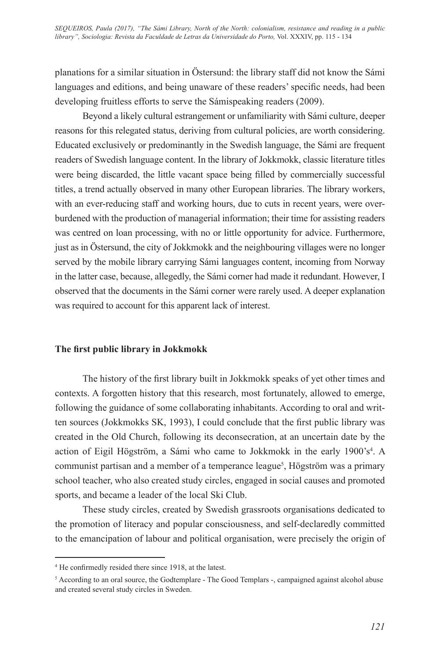planations for a similar situation in Östersund: the library staff did not know the Sámi languages and editions, and being unaware of these readers' specific needs, had been developing fruitless efforts to serve the Sámispeaking readers (2009).

Beyond a likely cultural estrangement or unfamiliarity with Sámi culture, deeper reasons for this relegated status, deriving from cultural policies, are worth considering. Educated exclusively or predominantly in the Swedish language, the Sámi are frequent readers of Swedish language content. In the library of Jokkmokk, classic literature titles were being discarded, the little vacant space being filled by commercially successful titles, a trend actually observed in many other European libraries. The library workers, with an ever-reducing staff and working hours, due to cuts in recent years, were overburdened with the production of managerial information; their time for assisting readers was centred on loan processing, with no or little opportunity for advice. Furthermore, just as in Östersund, the city of Jokkmokk and the neighbouring villages were no longer served by the mobile library carrying Sámi languages content, incoming from Norway in the latter case, because, allegedly, the Sámi corner had made it redundant. However, I observed that the documents in the Sámi corner were rarely used. A deeper explanation was required to account for this apparent lack of interest.

### **The first public library in Jokkmokk**

The history of the first library built in Jokkmokk speaks of yet other times and contexts. A forgotten history that this research, most fortunately, allowed to emerge, following the guidance of some collaborating inhabitants. According to oral and written sources (Jokkmokks SK, 1993), I could conclude that the first public library was created in the Old Church, following its deconsecration, at an uncertain date by the action of Eigil Högström, a Sámi who came to Jokkmokk in the early 1900's<sup>4</sup>. A communist partisan and a member of a temperance league<sup>5</sup>, Högström was a primary school teacher, who also created study circles, engaged in social causes and promoted sports, and became a leader of the local Ski Club.

These study circles, created by Swedish grassroots organisations dedicated to the promotion of literacy and popular consciousness, and self-declaredly committed to the emancipation of labour and political organisation, were precisely the origin of

<sup>4</sup> He confirmedly resided there since 1918, at the latest.

<sup>&</sup>lt;sup>5</sup> According to an oral source, the Godtemplare - The Good Templars -, campaigned against alcohol abuse and created several study circles in Sweden.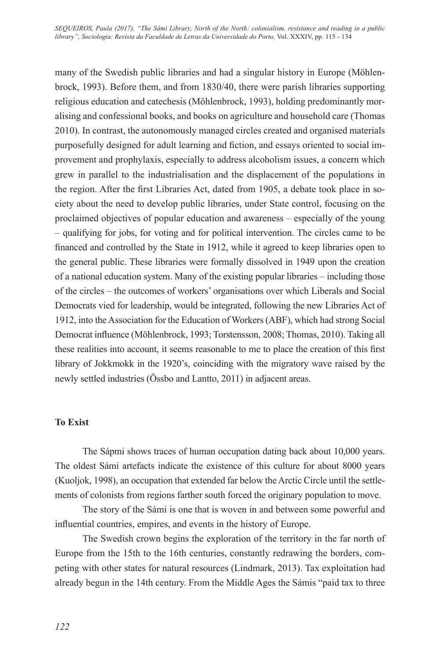many of the Swedish public libraries and had a singular history in Europe (Möhlenbrock, 1993). Before them, and from 1830/40, there were parish libraries supporting religious education and catechesis (Möhlenbrock, 1993), holding predominantly moralising and confessional books, and books on agriculture and household care (Thomas 2010). In contrast, the autonomously managed circles created and organised materials purposefully designed for adult learning and fiction, and essays oriented to social improvement and prophylaxis, especially to address alcoholism issues, a concern which grew in parallel to the industrialisation and the displacement of the populations in the region. After the first Libraries Act, dated from 1905, a debate took place in society about the need to develop public libraries, under State control, focusing on the proclaimed objectives of popular education and awareness – especially of the young – qualifying for jobs, for voting and for political intervention. The circles came to be financed and controlled by the State in 1912, while it agreed to keep libraries open to the general public. These libraries were formally dissolved in 1949 upon the creation of a national education system. Many of the existing popular libraries – including those of the circles – the outcomes of workers' organisations over which Liberals and Social Democrats vied for leadership, would be integrated, following the new Libraries Act of 1912, into the Association for the Education of Workers (ABF), which had strong Social Democrat influence (Möhlenbrock, 1993; Torstensson, 2008; Thomas, 2010). Taking all these realities into account, it seems reasonable to me to place the creation of this first library of Jokkmokk in the 1920's, coinciding with the migratory wave raised by the newly settled industries (Össbo and Lantto, 2011) in adjacent areas.

### **To Exist**

The Sápmi shows traces of human occupation dating back about 10,000 years. The oldest Sámi artefacts indicate the existence of this culture for about 8000 years (Kuoljok, 1998), an occupation that extended far below the Arctic Circle until the settlements of colonists from regions farther south forced the originary population to move.

The story of the Sámi is one that is woven in and between some powerful and influential countries, empires, and events in the history of Europe.

The Swedish crown begins the exploration of the territory in the far north of Europe from the 15th to the 16th centuries, constantly redrawing the borders, competing with other states for natural resources (Lindmark, 2013). Tax exploitation had already begun in the 14th century. From the Middle Ages the Sámis "paid tax to three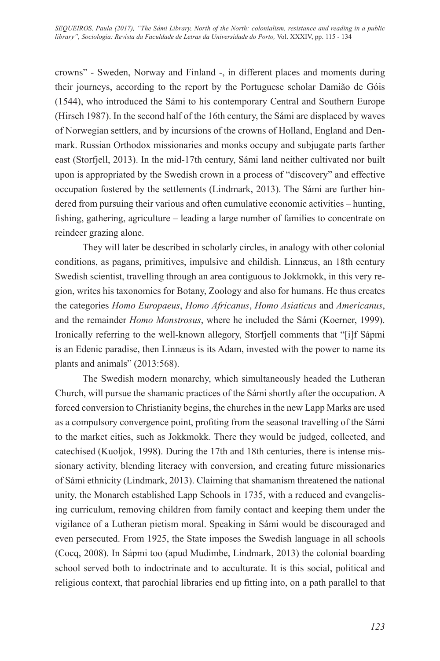crowns" - Sweden, Norway and Finland -, in different places and moments during their journeys, according to the report by the Portuguese scholar Damião de Góis (1544), who introduced the Sámi to his contemporary Central and Southern Europe (Hirsch 1987). In the second half of the 16th century, the Sámi are displaced by waves of Norwegian settlers, and by incursions of the crowns of Holland, England and Denmark. Russian Orthodox missionaries and monks occupy and subjugate parts farther east (Storfjell, 2013). In the mid-17th century, Sámi land neither cultivated nor built upon is appropriated by the Swedish crown in a process of "discovery" and effective occupation fostered by the settlements (Lindmark, 2013). The Sámi are further hindered from pursuing their various and often cumulative economic activities – hunting, fishing, gathering, agriculture – leading a large number of families to concentrate on reindeer grazing alone.

They will later be described in scholarly circles, in analogy with other colonial conditions, as pagans, primitives, impulsive and childish. Linnæus, an 18th century Swedish scientist, travelling through an area contiguous to Jokkmokk, in this very region, writes his taxonomies for Botany, Zoology and also for humans. He thus creates the categories *Homo Europaeus*, *Homo Africanus*, *Homo Asiaticus* and *Americanus*, and the remainder *Homo Monstrosus*, where he included the Sámi (Koerner, 1999). Ironically referring to the well-known allegory, Storfjell comments that "[i]f Sápmi is an Edenic paradise, then Linnæus is its Adam, invested with the power to name its plants and animals" (2013:568).

The Swedish modern monarchy, which simultaneously headed the Lutheran Church, will pursue the shamanic practices of the Sámi shortly after the occupation. A forced conversion to Christianity begins, the churches in the new Lapp Marks are used as a compulsory convergence point, profiting from the seasonal travelling of the Sámi to the market cities, such as Jokkmokk. There they would be judged, collected, and catechised (Kuoljok, 1998). During the 17th and 18th centuries, there is intense missionary activity, blending literacy with conversion, and creating future missionaries of Sámi ethnicity (Lindmark, 2013). Claiming that shamanism threatened the national unity, the Monarch established Lapp Schools in 1735, with a reduced and evangelising curriculum, removing children from family contact and keeping them under the vigilance of a Lutheran pietism moral. Speaking in Sámi would be discouraged and even persecuted. From 1925, the State imposes the Swedish language in all schools (Cocq, 2008). In Sápmi too (apud Mudimbe, Lindmark, 2013) the colonial boarding school served both to indoctrinate and to acculturate. It is this social, political and religious context, that parochial libraries end up fitting into, on a path parallel to that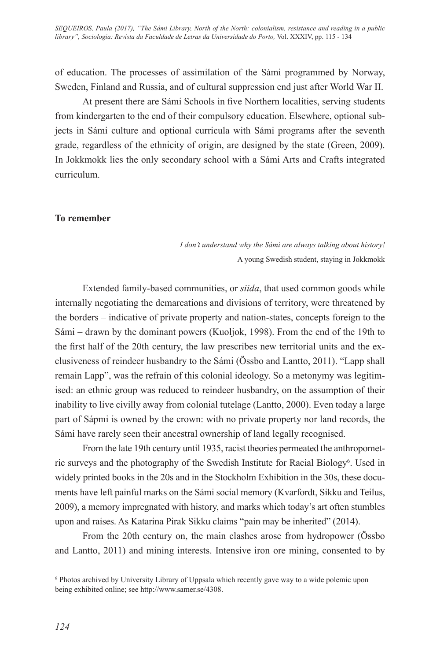*SEQUEIROS, Paula (2017), "The Sámi Library, North of the North: colonialism, resistance and reading in a public library", Sociologia: Revista da Faculdade de Letras da Universidade do Porto,* Vol. XXXIV, pp. 115 - 134

of education. The processes of assimilation of the Sámi programmed by Norway, Sweden, Finland and Russia, and of cultural suppression end just after World War II.

At present there are Sámi Schools in five Northern localities, serving students from kindergarten to the end of their compulsory education. Elsewhere, optional subjects in Sámi culture and optional curricula with Sámi programs after the seventh grade, regardless of the ethnicity of origin, are designed by the state (Green, 2009). In Jokkmokk lies the only secondary school with a Sámi Arts and Crafts integrated curriculum.

#### **To remember**

*I don't understand why the Sámi are always talking about history!*  A young Swedish student, staying in Jokkmokk

Extended family-based communities, or *siida*, that used common goods while internally negotiating the demarcations and divisions of territory, were threatened by the borders – indicative of private property and nation-states, concepts foreign to the Sámi **–** drawn by the dominant powers (Kuoljok, 1998). From the end of the 19th to the first half of the 20th century, the law prescribes new territorial units and the exclusiveness of reindeer husbandry to the Sámi (Össbo and Lantto, 2011). "Lapp shall remain Lapp", was the refrain of this colonial ideology. So a metonymy was legitimised: an ethnic group was reduced to reindeer husbandry, on the assumption of their inability to live civilly away from colonial tutelage (Lantto, 2000). Even today a large part of Sápmi is owned by the crown: with no private property nor land records, the Sámi have rarely seen their ancestral ownership of land legally recognised.

From the late 19th century until 1935, racist theories permeated the anthropometric surveys and the photography of the Swedish Institute for Racial Biology<sup>6</sup>. Used in widely printed books in the 20s and in the Stockholm Exhibition in the 30s, these documents have left painful marks on the Sámi social memory (Kvarfordt, Sikku and Teilus, 2009), a memory impregnated with history, and marks which today's art often stumbles upon and raises. As Katarina Pirak Sikku claims "pain may be inherited" (2014).

From the 20th century on, the main clashes arose from hydropower (Össbo and Lantto, 2011) and mining interests. Intensive iron ore mining, consented to by

<sup>6</sup> Photos archived by University Library of Uppsala which recently gave way to a wide polemic upon being exhibited online; see http://www.samer.se/4308.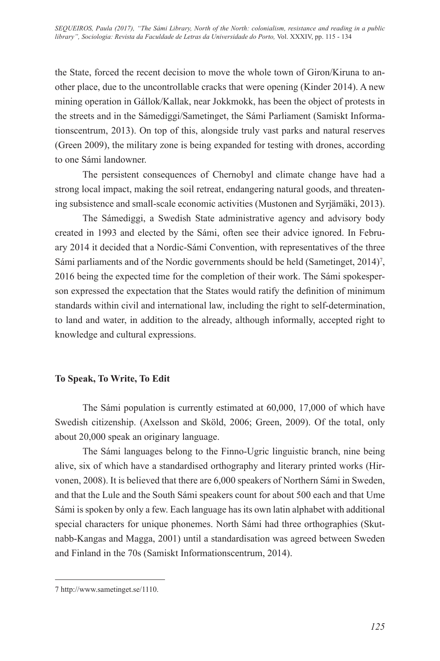the State, forced the recent decision to move the whole town of Giron/Kiruna to another place, due to the uncontrollable cracks that were opening (Kinder 2014). A new mining operation in Gállok/Kallak, near Jokkmokk, has been the object of protests in the streets and in the Sámediggi/Sametinget, the Sámi Parliament (Samiskt Informationscentrum, 2013). On top of this, alongside truly vast parks and natural reserves (Green 2009), the military zone is being expanded for testing with drones, according to one Sámi landowner.

The persistent consequences of Chernobyl and climate change have had a strong local impact, making the soil retreat, endangering natural goods, and threatening subsistence and small-scale economic activities (Mustonen and Syrjämäki, 2013).

The Sámediggi, a Swedish State administrative agency and advisory body created in 1993 and elected by the Sámi, often see their advice ignored. In February 2014 it decided that a Nordic-Sámi Convention, with representatives of the three Sámi parliaments and of the Nordic governments should be held (Sametinget,  $2014$ )<sup>7</sup>, 2016 being the expected time for the completion of their work. The Sámi spokesperson expressed the expectation that the States would ratify the definition of minimum standards within civil and international law, including the right to self-determination, to land and water, in addition to the already, although informally, accepted right to knowledge and cultural expressions.

### **To Speak, To Write, To Edit**

The Sámi population is currently estimated at 60,000, 17,000 of which have Swedish citizenship. (Axelsson and Sköld, 2006; Green, 2009). Of the total, only about 20,000 speak an originary language.

The Sámi languages belong to the Finno-Ugric linguistic branch, nine being alive, six of which have a standardised orthography and literary printed works (Hirvonen, 2008). It is believed that there are 6,000 speakers of Northern Sámi in Sweden, and that the Lule and the South Sámi speakers count for about 500 each and that Ume Sámi is spoken by only a few. Each language has its own latin alphabet with additional special characters for unique phonemes. North Sámi had three orthographies (Skutnabb-Kangas and Magga, 2001) until a standardisation was agreed between Sweden and Finland in the 70s (Samiskt Informationscentrum, 2014).

<sup>7</sup> http://www.sametinget.se/1110.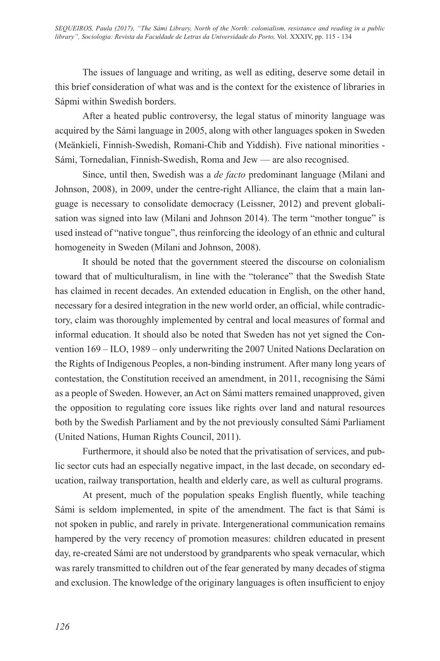The issues of language and writing, as well as editing, deserve some detail in this brief consideration of what was and is the context for the existence of libraries in Sápmi within Swedish borders.

After a heated public controversy, the legal status of minority language was acquired by the Sámi language in 2005, along with other languages spoken in Sweden (Meänkieli, Finnish-Swedish, Romani-Chib and Yiddish). Five national minorities - Sámi, Tornedalian, Finnish-Swedish, Roma and Jew — are also recognised.

Since, until then, Swedish was a *de facto* predominant language (Milani and Johnson, 2008), in 2009, under the centre-right Alliance, the claim that a main language is necessary to consolidate democracy (Leissner, 2012) and prevent globalisation was signed into law (Milani and Johnson 2014). The term "mother tongue" is used instead of "native tongue", thus reinforcing the ideology of an ethnic and cultural homogeneity in Sweden (Milani and Johnson, 2008).

It should be noted that the government steered the discourse on colonialism toward that of multiculturalism, in line with the "tolerance" that the Swedish State has claimed in recent decades. An extended education in English, on the other hand, necessary for a desired integration in the new world order, an official, while contradictory, claim was thoroughly implemented by central and local measures of formal and informal education. It should also be noted that Sweden has not yet signed the Convention 169 – ILO, 1989 – only underwriting the 2007 United Nations Declaration on the Rights of Indigenous Peoples, a non-binding instrument. After many long years of contestation, the Constitution received an amendment, in 2011, recognising the Sámi as a people of Sweden. However, an Act on Sámi matters remained unapproved, given the opposition to regulating core issues like rights over land and natural resources both by the Swedish Parliament and by the not previously consulted Sámi Parliament (United Nations, Human Rights Council, 2011).

Furthermore, it should also be noted that the privatisation of services, and public sector cuts had an especially negative impact, in the last decade, on secondary education, railway transportation, health and elderly care, as well as cultural programs.

At present, much of the population speaks English fluently, while teaching Sámi is seldom implemented, in spite of the amendment. The fact is that Sámi is not spoken in public, and rarely in private. Intergenerational communication remains hampered by the very recency of promotion measures: children educated in present day, re-created Sámi are not understood by grandparents who speak vernacular, which was rarely transmitted to children out of the fear generated by many decades of stigma and exclusion. The knowledge of the originary languages is often insufficient to enjoy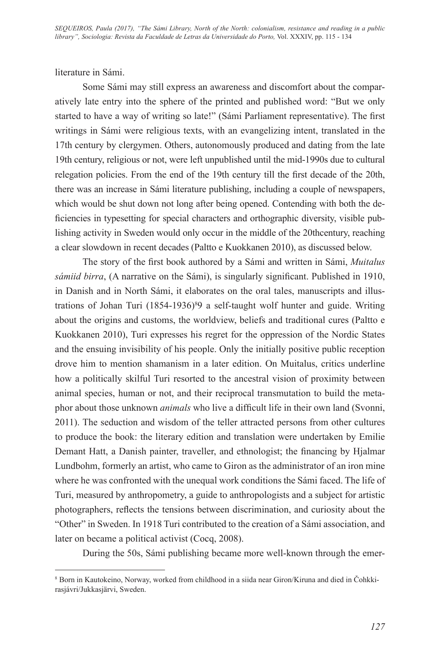literature in Sámi.

Some Sámi may still express an awareness and discomfort about the comparatively late entry into the sphere of the printed and published word: "But we only started to have a way of writing so late!" (Sámi Parliament representative). The first writings in Sámi were religious texts, with an evangelizing intent, translated in the 17th century by clergymen. Others, autonomously produced and dating from the late 19th century, religious or not, were left unpublished until the mid-1990s due to cultural relegation policies. From the end of the 19th century till the first decade of the 20th, there was an increase in Sámi literature publishing, including a couple of newspapers, which would be shut down not long after being opened. Contending with both the deficiencies in typesetting for special characters and orthographic diversity, visible publishing activity in Sweden would only occur in the middle of the 20thcentury, reaching a clear slowdown in recent decades (Paltto e Kuokkanen 2010), as discussed below.

The story of the first book authored by a Sámi and written in Sámi, *Muitalus sámiid birra*, (A narrative on the Sámi), is singularly significant. Published in 1910, in Danish and in North Sámi, it elaborates on the oral tales, manuscripts and illustrations of Johan Turi (1854-1936)<sup>8</sup>9 a self-taught wolf hunter and guide. Writing about the origins and customs, the worldview, beliefs and traditional cures (Paltto e Kuokkanen 2010), Turi expresses his regret for the oppression of the Nordic States and the ensuing invisibility of his people. Only the initially positive public reception drove him to mention shamanism in a later edition. On Muitalus, critics underline how a politically skilful Turi resorted to the ancestral vision of proximity between animal species, human or not, and their reciprocal transmutation to build the metaphor about those unknown *animals* who live a difficult life in their own land (Svonni, 2011). The seduction and wisdom of the teller attracted persons from other cultures to produce the book: the literary edition and translation were undertaken by Emilie Demant Hatt, a Danish painter, traveller, and ethnologist; the financing by Hjalmar Lundbohm, formerly an artist, who came to Giron as the administrator of an iron mine where he was confronted with the unequal work conditions the Sámi faced. The life of Turi, measured by anthropometry, a guide to anthropologists and a subject for artistic photographers, reflects the tensions between discrimination, and curiosity about the "Other" in Sweden. In 1918 Turi contributed to the creation of a Sámi association, and later on became a political activist (Cocq, 2008).

During the 50s, Sámi publishing became more well-known through the emer-

<sup>8</sup> Born in Kautokeino, Norway, worked from childhood in a siida near Giron/Kiruna and died in Čohkkirasjávri/Jukkasjärvi, Sweden.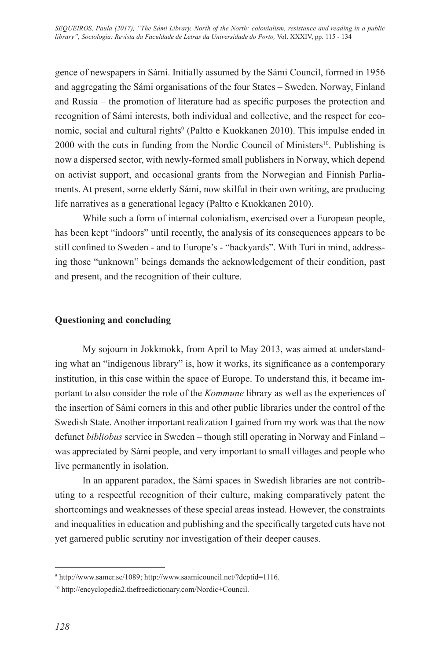gence of newspapers in Sámi. Initially assumed by the Sámi Council, formed in 1956 and aggregating the Sámi organisations of the four States – Sweden, Norway, Finland and Russia – the promotion of literature had as specific purposes the protection and recognition of Sámi interests, both individual and collective, and the respect for economic, social and cultural rights<sup>9</sup> (Paltto e Kuokkanen 2010). This impulse ended in  $2000$  with the cuts in funding from the Nordic Council of Ministers<sup>10</sup>. Publishing is now a dispersed sector, with newly-formed small publishers in Norway, which depend on activist support, and occasional grants from the Norwegian and Finnish Parliaments. At present, some elderly Sámi, now skilful in their own writing, are producing life narratives as a generational legacy (Paltto e Kuokkanen 2010).

While such a form of internal colonialism, exercised over a European people, has been kept "indoors" until recently, the analysis of its consequences appears to be still confined to Sweden - and to Europe's - "backyards". With Turi in mind, addressing those "unknown" beings demands the acknowledgement of their condition, past and present, and the recognition of their culture.

## **Questioning and concluding**

My sojourn in Jokkmokk, from April to May 2013, was aimed at understanding what an "indigenous library" is, how it works, its significance as a contemporary institution, in this case within the space of Europe. To understand this, it became important to also consider the role of the *Kommune* library as well as the experiences of the insertion of Sámi corners in this and other public libraries under the control of the Swedish State. Another important realization I gained from my work was that the now defunct *bibliobus* service in Sweden – though still operating in Norway and Finland – was appreciated by Sámi people, and very important to small villages and people who live permanently in isolation.

In an apparent paradox, the Sámi spaces in Swedish libraries are not contributing to a respectful recognition of their culture, making comparatively patent the shortcomings and weaknesses of these special areas instead. However, the constraints and inequalities in education and publishing and the specifically targeted cuts have not yet garnered public scrutiny nor investigation of their deeper causes.

<sup>9</sup> http://www.samer.se/1089; http://www.saamicouncil.net/?deptid=1116.

<sup>10</sup> http://encyclopedia2.thefreedictionary.com/Nordic+Council.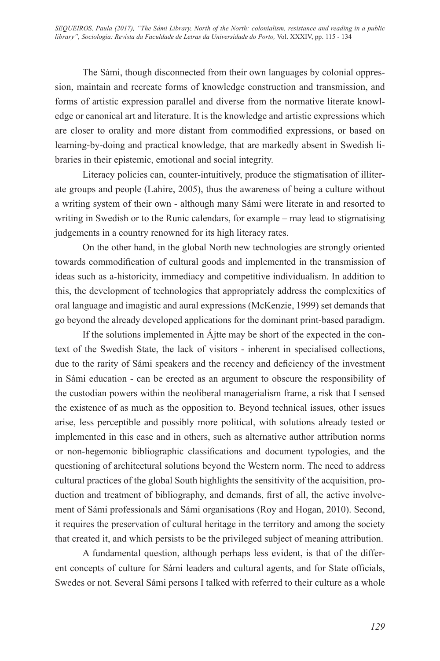The Sámi, though disconnected from their own languages by colonial oppression, maintain and recreate forms of knowledge construction and transmission, and forms of artistic expression parallel and diverse from the normative literate knowledge or canonical art and literature. It is the knowledge and artistic expressions which are closer to orality and more distant from commodified expressions, or based on learning-by-doing and practical knowledge, that are markedly absent in Swedish libraries in their epistemic, emotional and social integrity.

Literacy policies can, counter-intuitively, produce the stigmatisation of illiterate groups and people (Lahire, 2005), thus the awareness of being a culture without a writing system of their own - although many Sámi were literate in and resorted to writing in Swedish or to the Runic calendars, for example – may lead to stigmatising judgements in a country renowned for its high literacy rates.

On the other hand, in the global North new technologies are strongly oriented towards commodification of cultural goods and implemented in the transmission of ideas such as a-historicity, immediacy and competitive individualism. In addition to this, the development of technologies that appropriately address the complexities of oral language and imagistic and aural expressions (McKenzie, 1999) set demands that go beyond the already developed applications for the dominant print-based paradigm.

If the solutions implemented in Ájtte may be short of the expected in the context of the Swedish State, the lack of visitors - inherent in specialised collections, due to the rarity of Sámi speakers and the recency and deficiency of the investment in Sámi education - can be erected as an argument to obscure the responsibility of the custodian powers within the neoliberal managerialism frame, a risk that I sensed the existence of as much as the opposition to. Beyond technical issues, other issues arise, less perceptible and possibly more political, with solutions already tested or implemented in this case and in others, such as alternative author attribution norms or non-hegemonic bibliographic classifications and document typologies, and the questioning of architectural solutions beyond the Western norm. The need to address cultural practices of the global South highlights the sensitivity of the acquisition, production and treatment of bibliography, and demands, first of all, the active involvement of Sámi professionals and Sámi organisations (Roy and Hogan, 2010). Second, it requires the preservation of cultural heritage in the territory and among the society that created it, and which persists to be the privileged subject of meaning attribution.

A fundamental question, although perhaps less evident, is that of the different concepts of culture for Sámi leaders and cultural agents, and for State officials, Swedes or not. Several Sámi persons I talked with referred to their culture as a whole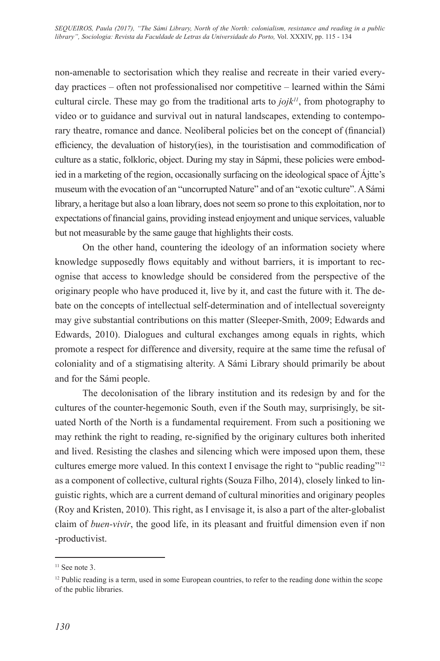non-amenable to sectorisation which they realise and recreate in their varied everyday practices – often not professionalised nor competitive – learned within the Sámi cultural circle. These may go from the traditional arts to  $j \, o \, j k$ <sup>11</sup>, from photography to video or to guidance and survival out in natural landscapes, extending to contemporary theatre, romance and dance. Neoliberal policies bet on the concept of (financial) efficiency, the devaluation of history(ies), in the touristisation and commodification of culture as a static, folkloric, object. During my stay in Sápmi, these policies were embodied in a marketing of the region, occasionally surfacing on the ideological space of Ájtte's museum with the evocation of an "uncorrupted Nature" and of an "exotic culture". A Sámi library, a heritage but also a loan library, does not seem so prone to this exploitation, nor to expectations of financial gains, providing instead enjoyment and unique services, valuable but not measurable by the same gauge that highlights their costs.

On the other hand, countering the ideology of an information society where knowledge supposedly flows equitably and without barriers, it is important to recognise that access to knowledge should be considered from the perspective of the originary people who have produced it, live by it, and cast the future with it. The debate on the concepts of intellectual self-determination and of intellectual sovereignty may give substantial contributions on this matter (Sleeper-Smith, 2009; Edwards and Edwards, 2010). Dialogues and cultural exchanges among equals in rights, which promote a respect for difference and diversity, require at the same time the refusal of coloniality and of a stigmatising alterity. A Sámi Library should primarily be about and for the Sámi people.

The decolonisation of the library institution and its redesign by and for the cultures of the counter-hegemonic South, even if the South may, surprisingly, be situated North of the North is a fundamental requirement. From such a positioning we may rethink the right to reading, re-signified by the originary cultures both inherited and lived. Resisting the clashes and silencing which were imposed upon them, these cultures emerge more valued. In this context I envisage the right to "public reading"12 as a component of collective, cultural rights (Souza Filho, 2014), closely linked to linguistic rights, which are a current demand of cultural minorities and originary peoples (Roy and Kristen, 2010). This right, as I envisage it, is also a part of the alter-globalist claim of *buen-vivir*, the good life, in its pleasant and fruitful dimension even if non -productivist.

 $11$  See note 3.

<sup>&</sup>lt;sup>12</sup> Public reading is a term, used in some European countries, to refer to the reading done within the scope of the public libraries.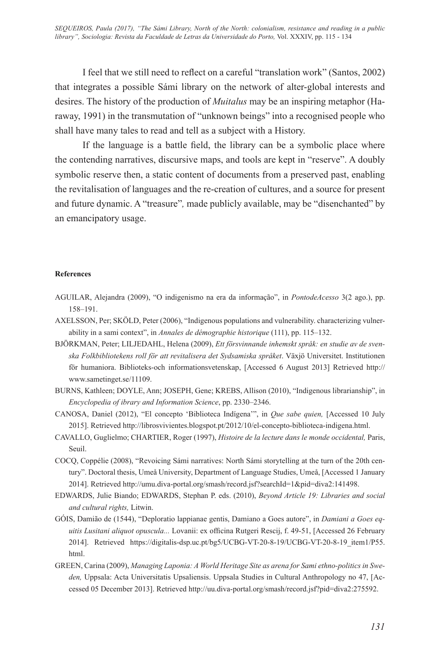I feel that we still need to reflect on a careful "translation work" (Santos, 2002) that integrates a possible Sámi library on the network of alter-global interests and desires. The history of the production of *Muitalus* may be an inspiring metaphor (Haraway, 1991) in the transmutation of "unknown beings" into a recognised people who shall have many tales to read and tell as a subject with a History.

If the language is a battle field, the library can be a symbolic place where the contending narratives, discursive maps, and tools are kept in "reserve". A doubly symbolic reserve then, a static content of documents from a preserved past, enabling the revitalisation of languages and the re-creation of cultures, and a source for present and future dynamic. A "treasure"*,* made publicly available, may be "disenchanted" by an emancipatory usage.

#### **References**

- AGUILAR, Alejandra (2009), "O indigenismo na era da informação", in *PontodeAcesso* 3(2 ago.), pp. 158–191.
- AXELSSON, Per; SKÖLD, Peter (2006), "Indigenous populations and vulnerability. characterizing vulnerability in a sami context", in *Annales de démographie historique* (111), pp. 115–132.
- BJÖRKMAN, Peter; LILJEDAHL, Helena (2009), *Ett försvinnande inhemskt språk: en studie av de svenska Folkbibliotekens roll för att revitalisera det Sydsamiska språket*. Växjö Universitet. Institutionen för humaniora. Biblioteks-och informationsvetenskap, [Accessed 6 August 2013] Retrieved http:// www.sametinget.se/11109.
- BURNS, Kathleen; DOYLE, Ann; JOSEPH, Gene; KREBS, Allison (2010), "Indigenous librarianship", in *Encyclopedia of ibrary and Information Science*, pp. 2330–2346.
- CANOSA, Daniel (2012), "El concepto 'Biblioteca Indígena'", in *Que sabe quien,* [Accessed 10 July 2015]. Retrieved http://librosvivientes.blogspot.pt/2012/10/el-concepto-biblioteca-indigena.html.
- CAVALLO, Guglielmo; CHARTIER, Roger (1997), *Histoire de la lecture dans le monde occidental,* Paris, Seuil.
- COCQ, Coppélie (2008), "Revoicing Sámi narratives: North Sámi storytelling at the turn of the 20th century". Doctoral thesis, Umeå University, Department of Language Studies, Umeå, [Accessed 1 January 2014]. Retrieved http://umu.diva-portal.org/smash/record.jsf?searchId=1&pid=diva2:141498.
- EDWARDS, Julie Biando; EDWARDS, Stephan P. eds. (2010), *Beyond Article 19: Libraries and social and cultural rights,* Litwin.
- GÓIS, Damião de (1544), "Deploratio lappianae gentis, Damiano a Goes autore", in *Damiani a Goes equitis Lusitani aliquot opuscula...* Lovanii: ex officina Rutgeri Rescij, f. 49-51, [Accessed 26 February 2014]. Retrieved https://digitalis-dsp.uc.pt/bg5/UCBG-VT-20-8-19/UCBG-VT-20-8-19\_item1/P55. html.
- GREEN, Carina (2009), *Managing Laponia: A World Heritage Site as arena for Sami ethno-politics in Sweden,* Uppsala: Acta Universitatis Upsaliensis. Uppsala Studies in Cultural Anthropology no 47, [Accessed 05 December 2013]. Retrieved http://uu.diva-portal.org/smash/record.jsf?pid=diva2:275592.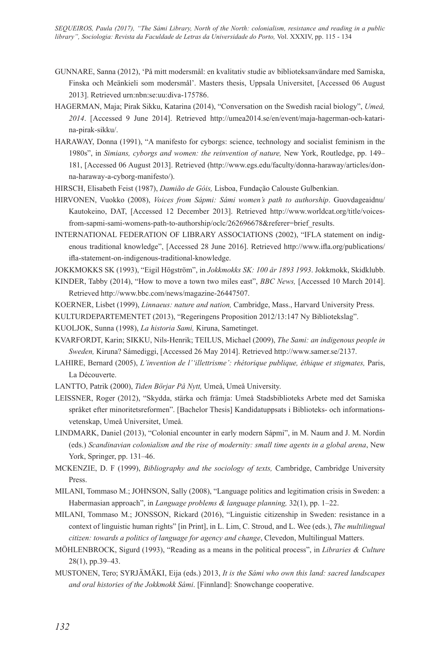- GUNNARE, Sanna (2012), 'På mitt modersmål: en kvalitativ studie av biblioteksanvändare med Samiska, Finska och Meänkieli som modersmål'. Masters thesis, Uppsala Universitet, [Accessed 06 August 2013]. Retrieved urn:nbn:se:uu:diva-175786.
- HAGERMAN, Maja; Pirak Sikku, Katarina (2014), "Conversation on the Swedish racial biology", *Umeå, 2014*. [Accessed 9 June 2014]. Retrieved http://umea2014.se/en/event/maja-hagerman-och-katarina-pirak-sikku/.
- HARAWAY, Donna (1991), "A manifesto for cyborgs: science, technology and socialist feminism in the 1980s", in *Simians, cyborgs and women: the reinvention of nature,* New York, Routledge, pp. 149– 181, [Accessed 06 August 2013]. Retrieved (http://www.egs.edu/faculty/donna-haraway/articles/donna-haraway-a-cyborg-manifesto/).
- HIRSCH, Elisabeth Feist (1987), *Damião de Góis,* Lisboa, Fundação Calouste Gulbenkian.
- HIRVONEN, Vuokko (2008), *Voices from Sápmi: Sámi women's path to authorship*. Guovdageaidnu/ Kautokeino, DAT, [Accessed 12 December 2013]. Retrieved http://www.worldcat.org/title/voicesfrom-sapmi-sami-womens-path-to-authorship/oclc/262696678&referer=brief\_results.
- INTERNATIONAL FEDERATION OF LIBRARY ASSOCIATIONS (2002), "IFLA statement on indigenous traditional knowledge", [Accessed 28 June 2016]. Retrieved http://www.ifla.org/publications/ ifla-statement-on-indigenous-traditional-knowledge.
- JOKKMOKKS SK (1993), "Eigil Högström", in *Jokkmokks SK: 100 år 1893 1993*. Jokkmokk, Skidklubb.
- KINDER, Tabby (2014), "How to move a town two miles east", *BBC News,* [Accessed 10 March 2014]. Retrieved http://www.bbc.com/news/magazine-26447507.
- KOERNER, Lisbet (1999), *Linnaeus: nature and nation,* Cambridge, Mass., Harvard University Press.
- KULTURDEPARTEMENTET (2013), "Regeringens Proposition 2012/13:147 Ny Bibliotekslag".
- KUOLJOK, Sunna (1998), *La historia Sami,* Kiruna, Sametinget.
- KVARFORDT, Karin; SIKKU, Nils-Henrik; TEILUS, Michael (2009), *The Sami: an indigenous people in Sweden,* Kiruna? Sámediggi, [Accessed 26 May 2014]. Retrieved http://www.samer.se/2137.
- LAHIRE, Bernard (2005), *L'invention de l''illettrisme': rhétorique publique, éthique et stigmates,* Paris, La Découverte.
- LANTTO, Patrik (2000), *Tiden Börjar På Nytt,* Umeå, Umeå University.
- LEISSNER, Roger (2012), "Skydda, stärka och främja: Umeå Stadsbiblioteks Arbete med det Samiska språket efter minoritetsreformen". [Bachelor Thesis] Kandidatuppsats i Biblioteks- och informationsvetenskap, Umeå Universitet, Umeå.
- LINDMARK, Daniel (2013), "Colonial encounter in early modern Sápmi", in M. Naum and J. M. Nordin (eds.) *Scandinavian colonialism and the rise of modernity: small time agents in a global arena*, New York, Springer, pp. 131–46.
- MCKENZIE, D. F (1999), *Bibliography and the sociology of texts,* Cambridge, Cambridge University Press.
- MILANI, Tommaso M.; JOHNSON, Sally (2008), "Language politics and legitimation crisis in Sweden: a Habermasian approach", in *Language problems & language planning,* 32(1), pp. 1–22.
- MILANI, Tommaso M.; JONSSON, Rickard (2016), "Linguistic citizenship in Sweden: resistance in a context of linguistic human rights" [in Print], in L. Lim, C. Stroud, and L. Wee (eds.), *The multilingual citizen: towards a politics of language for agency and change*, Clevedon, Multilingual Matters.
- MÖHLENBROCK, Sigurd (1993), "Reading as a means in the political process", in *Libraries & Culture* 28(1), pp.39–43.
- MUSTONEN, Tero; SYRJÄMÄKI, Eija (eds.) 2013, *It is the Sámi who own this land: sacred landscapes and oral histories of the Jokkmokk Sámi*. [Finnland]: Snowchange cooperative.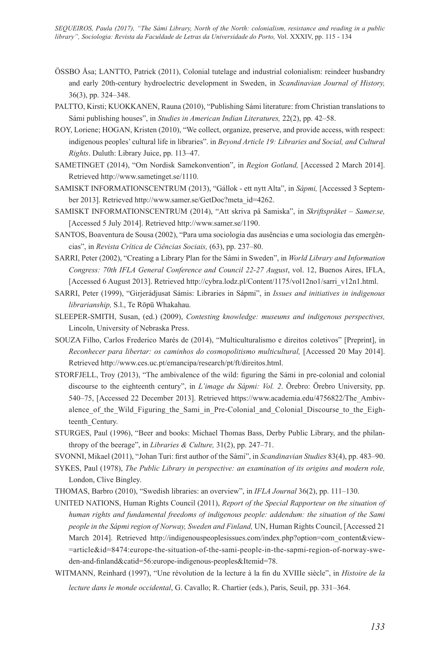- ÖSSBO Åsa; LANTTO, Patrick (2011), Colonial tutelage and industrial colonialism: reindeer husbandry and early 20th-century hydroelectric development in Sweden, in *Scandinavian Journal of History,* 36(3), pp. 324–348.
- PALTTO, Kirsti; KUOKKANEN, Rauna (2010), "Publishing Sámi literature: from Christian translations to Sámi publishing houses", in *Studies in American Indian Literatures,* 22(2), pp. 42–58.
- ROY, Loriene; HOGAN, Kristen (2010), "We collect, organize, preserve, and provide access, with respect: indigenous peoples' cultural life in libraries". in *Beyond Article 19: Libraries and Social, and Cultural Rights*. Duluth: Library Juice, pp. 113–47.
- SAMETINGET (2014), "Om Nordisk Samekonvention", in *Region Gotland,* [Accessed 2 March 2014]. Retrieved http://www.sametinget.se/1110.
- SAMISKT INFORMATIONSCENTRUM (2013), "Gállok ett nytt Alta", in *Sápmi,* [Accessed 3 September 2013]. Retrieved http://www.samer.se/GetDoc?meta\_id=4262.
- SAMISKT INFORMATIONSCENTRUM (2014), "Att skriva på Samiska", in *Skriftspråket Samer.se,*  [Accessed 5 July 2014]. Retrieved http://www.samer.se/1190.
- SANTOS, Boaventura de Sousa (2002), "Para uma sociologia das ausências e uma sociologia das emergências", in *Revista Crítica de Ciências Sociais,* (63), pp. 237–80.
- SARRI, Peter (2002), "Creating a Library Plan for the Sámi in Sweden", in *World Library and Information Congress: 70th IFLA General Conference and Council 22-27 August*, vol. 12, Buenos Aires, IFLA, [Accessed 6 August 2013]. Retrieved http://cybra.lodz.pl/Content/1175/vol12no1/sarri\_v12n1.html.
- SARRI, Peter (1999), "Girjerádjusat Sámis: Libraries in Sápmi", in *Issues and initiatives in indigenous librarianship,* S.l., Te Rōpū Whakahau.
- SLEEPER-SMITH, Susan, (ed.) (2009), *Contesting knowledge: museums and indigenous perspectives,* Lincoln, University of Nebraska Press.
- SOUZA Filho, Carlos Frederico Marés de (2014), "Multiculturalismo e direitos coletivos" [Preprint], in *Reconhecer para libertar: os caminhos do cosmopolitismo multicultural,* [Accessed 20 May 2014]. Retrieved http://www.ces.uc.pt/emancipa/research/pt/ft/direitos.html.
- STORFJELL, Troy (2013), "The ambivalence of the wild: figuring the Sámi in pre-colonial and colonial discourse to the eighteenth century", in *L'image du Sápmi: Vol. 2*. Örebro: Örebro University, pp. 540–75, [Accessed 22 December 2013]. Retrieved https://www.academia.edu/4756822/The\_Ambivalence of the Wild Figuring the Sami in Pre-Colonial and Colonial Discourse to the Eighteenth\_Century.
- STURGES, Paul (1996), "Beer and books: Michael Thomas Bass, Derby Public Library, and the philanthropy of the beerage", in *Libraries & Culture,* 31(2), pp. 247–71.
- SVONNI, Mikael (2011), "Johan Turi: first author of the Sámi", in *Scandinavian Studies* 83(4), pp. 483–90.
- SYKES, Paul (1978), *The Public Library in perspective: an examination of its origins and modern role,* London, Clive Bingley.
- THOMAS, Barbro (2010), "Swedish libraries: an overview", in *IFLA Journal* 36(2), pp. 111–130.
- UNITED NATIONS, Human Rights Council (2011), *Report of the Special Rapporteur on the situation of human rights and fundamental freedoms of indigenous people: addendum: the situation of the Sami people in the Sápmi region of Norway, Sweden and Finland,* UN, Human Rights Council, [Accessed 21 March 2014]. Retrieved http://indigenouspeoplesissues.com/index.php?option=com\_content&view- =article&id=8474:europe-the-situation-of-the-sami-people-in-the-sapmi-region-of-norway-sweden-and-finland&catid=56:europe-indigenous-peoples&Itemid=78.
- WITMANN, Reinhard (1997), "Une révolution de la lecture à la fin du XVIIIe siècle", in *Histoire de la lecture dans le monde occidental*, G. Cavallo; R. Chartier (eds.), Paris, Seuil, pp. 331–364.